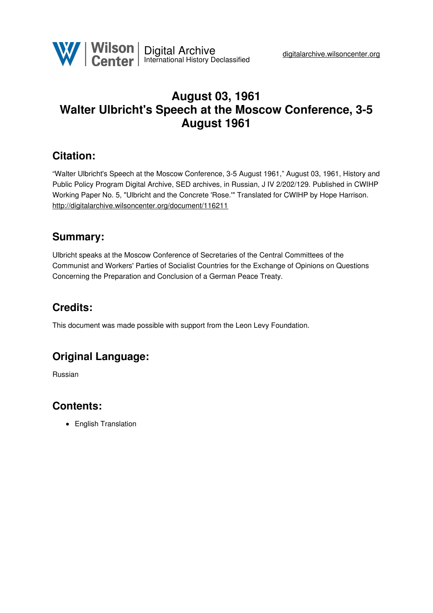

# **August 03, 1961 Walter Ulbricht's Speech at the Moscow Conference, 3-5 August 1961**

### **Citation:**

"Walter Ulbricht's Speech at the Moscow Conference, 3-5 August 1961," August 03, 1961, History and Public Policy Program Digital Archive, SED archives, in Russian, J IV 2/202/129. Published in CWIHP Working Paper No. 5, "Ulbricht and the Concrete 'Rose.'" Translated for CWIHP by Hope Harrison. <http://digitalarchive.wilsoncenter.org/document/116211>

### **Summary:**

Ulbricht speaks at the Moscow Conference of Secretaries of the Central Committees of the Communist and Workers' Parties of Socialist Countries for the Exchange of Opinions on Questions Concerning the Preparation and Conclusion of a German Peace Treaty.

# **Credits:**

This document was made possible with support from the Leon Levy Foundation.

## **Original Language:**

Russian

## **Contents:**

• English Translation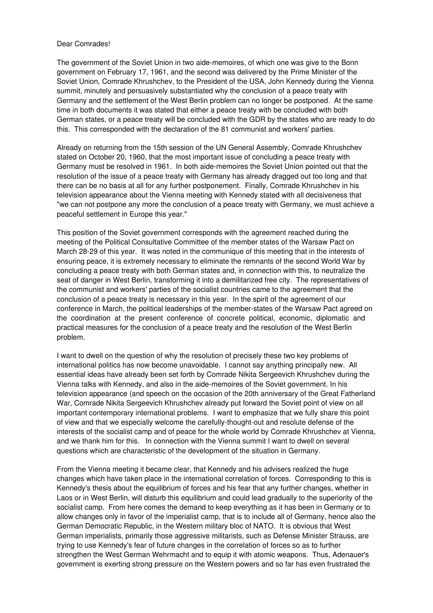### Dear Comrades!

The government of the Soviet Union in two aide-memoires, of which one was give to the Bonn government on February 17, 1961, and the second was delivered by the Prime Minister of the Soviet Union, Comrade Khrushchev, to the President of the USA, John Kennedy during the Vienna summit, minutely and persuasively substantiated why the conclusion of a peace treaty with Germany and the settlement of the West Berlin problem can no longer be postponed. At the same time in both documents it was stated that either a peace treaty with be concluded with both German states, or a peace treaty will be concluded with the GDR by the states who are ready to do this. This corresponded with the declaration of the 81 communist and workers' parties.

Already on returning from the 15th session of the UN General Assembly, Comrade Khrushchev stated on October 20, 1960, that the most important issue of concluding a peace treaty with Germany must be resolved in 1961. In both aide-memoires the Soviet Union pointed out that the resolution of the issue of a peace treaty with Germany has already dragged out too long and that there can be no basis at all for any further postponement. Finally, Comrade Khrushchev in his television appearance about the Vienna meeting with Kennedy stated with all decisiveness that "we can not postpone any more the conclusion of a peace treaty with Germany, we must achieve a peaceful settlement in Europe this year."

This position of the Soviet government corresponds with the agreement reached during the meeting of the Political Consultative Committee of the member states of the Warsaw Pact on March 28-29 of this year. It was noted in the communique of this meeting that in the interests of ensuring peace, it is extremely necessary to eliminate the remnants of the second World War by concluding a peace treaty with both German states and, in connection with this, to neutralize the seat of danger in West Berlin, transforming it into a demilitarized free city. The representatives of the communist and workers' parties of the socialist countries came to the agreement that the conclusion of a peace treaty is necessary in this year. In the spirit of the agreement of our conference in March, the political leaderships of the member-states of the Warsaw Pact agreed on the coordination at the present conference of concrete political, economic, diplomatic and practical measures for the conclusion of a peace treaty and the resolution of the West Berlin problem.

I want to dwell on the question of why the resolution of precisely these two key problems of international politics has now become unavoidable. I cannot say anything principally new. All essential ideas have already been set forth by Comrade Nikita Sergeevich Khrushchev during the Vienna talks with Kennedy, and also in the aide-memoires of the Soviet government. In his television appearance (and speech on the occasion of the 20th anniversary of the Great Fatherland War, Comrade Nikita Sergeevich Khrushchev already put forward the Soviet point of view on all important contemporary international problems. I want to emphasize that we fully share this point of view and that we especially welcome the carefully-thought-out and resolute defense of the interests of the socialist camp and of peace for the whole world by Comrade Khrushchev at Vienna, and we thank him for this. In connection with the Vienna summit I want to dwell on several questions which are characteristic of the development of the situation in Germany.

From the Vienna meeting it became clear, that Kennedy and his advisers realized the huge changes which have taken place in the international correlation of forces. Corresponding to this is Kennedy's thesis about the equilibrium of forces and his fear that any further changes, whether in Laos or in West Berlin, will disturb this equilibrium and could lead gradually to the superiority of the socialist camp. From here comes the demand to keep everything as it has been in Germany or to allow changes only in favor of the imperialist camp, that is to include all of Germany, hence also the German Democratic Republic, in the Western military bloc of NATO. It is obvious that West German imperialists, primarily those aggressive militarists, such as Defense Minister Strauss, are trying to use Kennedy's fear of future changes in the correlation of forces so as to further strengthen the West German Wehrmacht and to equip it with atomic weapons. Thus, Adenauer's government is exerting strong pressure on the Western powers and so far has even frustrated the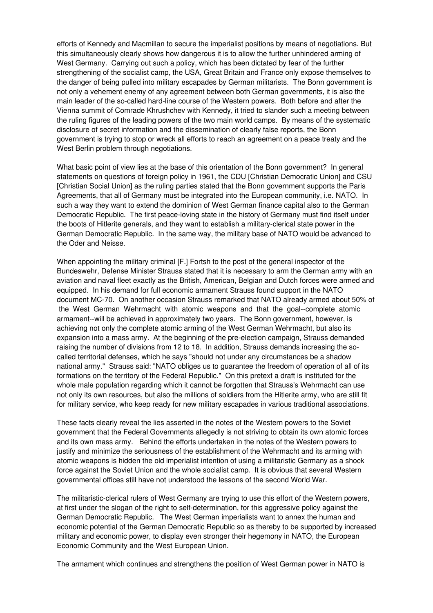efforts of Kennedy and Macmillan to secure the imperialist positions by means of negotiations. But this simultaneously clearly shows how dangerous it is to allow the further unhindered arming of West Germany. Carrying out such a policy, which has been dictated by fear of the further strengthening of the socialist camp, the USA, Great Britain and France only expose themselves to the danger of being pulled into military escapades by German militarists. The Bonn government is not only a vehement enemy of any agreement between both German governments, it is also the main leader of the so-called hard-line course of the Western powers. Both before and after the Vienna summit of Comrade Khrushchev with Kennedy, it tried to slander such a meeting between the ruling figures of the leading powers of the two main world camps. By means of the systematic disclosure of secret information and the dissemination of clearly false reports, the Bonn government is trying to stop or wreck all efforts to reach an agreement on a peace treaty and the West Berlin problem through negotiations.

What basic point of view lies at the base of this orientation of the Bonn government? In general statements on questions of foreign policy in 1961, the CDU [Christian Democratic Union] and CSU [Christian Social Union] as the ruling parties stated that the Bonn government supports the Paris Agreements, that all of Germany must be integrated into the European community, i.e. NATO. In such a way they want to extend the dominion of West German finance capital also to the German Democratic Republic. The first peace-loving state in the history of Germany must find itself under the boots of Hitlerite generals, and they want to establish a military-clerical state power in the German Democratic Republic. In the same way, the military base of NATO would be advanced to the Oder and Neisse.

When appointing the military criminal [F.] Fortsh to the post of the general inspector of the Bundeswehr, Defense Minister Strauss stated that it is necessary to arm the German army with an aviation and naval fleet exactly as the British, American, Belgian and Dutch forces were armed and equipped. In his demand for full economic armament Strauss found support in the NATO document MC-70. On another occasion Strauss remarked that NATO already armed about 50% of the West German Wehrmacht with atomic weapons and that the goal--complete atomic armament--will be achieved in approximately two years. The Bonn government, however, is achieving not only the complete atomic arming of the West German Wehrmacht, but also its expansion into a mass army. At the beginning of the pre-election campaign, Strauss demanded raising the number of divisions from 12 to 18. In addition, Strauss demands increasing the socalled territorial defenses, which he says "should not under any circumstances be a shadow national army." Strauss said: "NATO obliges us to guarantee the freedom of operation of all of its formations on the territory of the Federal Republic." On this pretext a draft is instituted for the whole male population regarding which it cannot be forgotten that Strauss's Wehrmacht can use not only its own resources, but also the millions of soldiers from the Hitlerite army, who are still fit for military service, who keep ready for new military escapades in various traditional associations.

These facts clearly reveal the lies asserted in the notes of the Western powers to the Soviet government that the Federal Governments allegedly is not striving to obtain its own atomic forces and its own mass army. Behind the efforts undertaken in the notes of the Western powers to justify and minimize the seriousness of the establishment of the Wehrmacht and its arming with atomic weapons is hidden the old imperialist intention of using a militaristic Germany as a shock force against the Soviet Union and the whole socialist camp. It is obvious that several Western governmental offices still have not understood the lessons of the second World War.

The militaristic-clerical rulers of West Germany are trying to use this effort of the Western powers, at first under the slogan of the right to self-determination, for this aggressive policy against the German Democratic Republic. The West German imperialists want to annex the human and economic potential of the German Democratic Republic so as thereby to be supported by increased military and economic power, to display even stronger their hegemony in NATO, the European Economic Community and the West European Union.

The armament which continues and strengthens the position of West German power in NATO is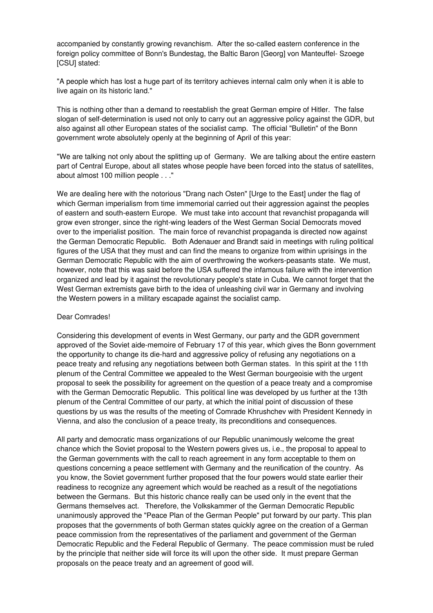accompanied by constantly growing revanchism. After the so-called eastern conference in the foreign policy committee of Bonn's Bundestag, the Baltic Baron [Georg] von Manteuffel- Szoege [CSU] stated:

"A people which has lost a huge part of its territory achieves internal calm only when it is able to live again on its historic land."

This is nothing other than a demand to reestablish the great German empire of Hitler. The false slogan of self-determination is used not only to carry out an aggressive policy against the GDR, but also against all other European states of the socialist camp. The official "Bulletin" of the Bonn government wrote absolutely openly at the beginning of April of this year:

"We are talking not only about the splitting up of Germany. We are talking about the entire eastern part of Central Europe, about all states whose people have been forced into the status of satellites, about almost 100 million people . . ."

We are dealing here with the notorious "Drang nach Osten" [Urge to the East] under the flag of which German imperialism from time immemorial carried out their aggression against the peoples of eastern and south-eastern Europe. We must take into account that revanchist propaganda will grow even stronger, since the right-wing leaders of the West German Social Democrats moved over to the imperialist position. The main force of revanchist propaganda is directed now against the German Democratic Republic. Both Adenauer and Brandt said in meetings with ruling political figures of the USA that they must and can find the means to organize from within uprisings in the German Democratic Republic with the aim of overthrowing the workers-peasants state. We must, however, note that this was said before the USA suffered the infamous failure with the intervention organized and lead by it against the revolutionary people's state in Cuba. We cannot forget that the West German extremists gave birth to the idea of unleashing civil war in Germany and involving the Western powers in a military escapade against the socialist camp.

#### Dear Comrades!

Considering this development of events in West Germany, our party and the GDR government approved of the Soviet aide-memoire of February 17 of this year, which gives the Bonn government the opportunity to change its die-hard and aggressive policy of refusing any negotiations on a peace treaty and refusing any negotiations between both German states. In this spirit at the 11th plenum of the Central Committee we appealed to the West German bourgeoisie with the urgent proposal to seek the possibility for agreement on the question of a peace treaty and a compromise with the German Democratic Republic. This political line was developed by us further at the 13th plenum of the Central Committee of our party, at which the initial point of discussion of these questions by us was the results of the meeting of Comrade Khrushchev with President Kennedy in Vienna, and also the conclusion of a peace treaty, its preconditions and consequences.

All party and democratic mass organizations of our Republic unanimously welcome the great chance which the Soviet proposal to the Western powers gives us, i.e., the proposal to appeal to the German governments with the call to reach agreement in any form acceptable to them on questions concerning a peace settlement with Germany and the reunification of the country. As you know, the Soviet government further proposed that the four powers would state earlier their readiness to recognize any agreement which would be reached as a result of the negotiations between the Germans. But this historic chance really can be used only in the event that the Germans themselves act. Therefore, the Volkskammer of the German Democratic Republic unanimously approved the "Peace Plan of the German People" put forward by our party. This plan proposes that the governments of both German states quickly agree on the creation of a German peace commission from the representatives of the parliament and government of the German Democratic Republic and the Federal Republic of Germany. The peace commission must be ruled by the principle that neither side will force its will upon the other side. It must prepare German proposals on the peace treaty and an agreement of good will.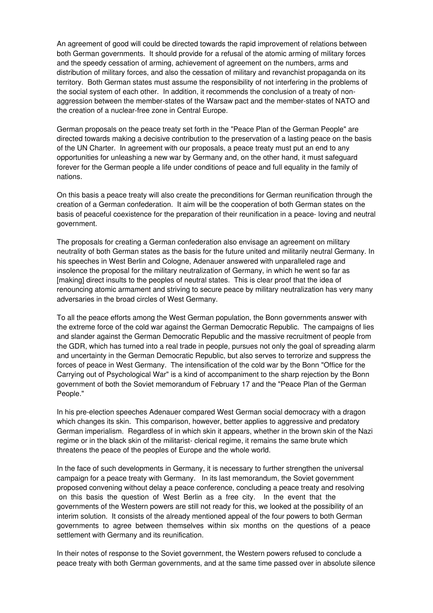An agreement of good will could be directed towards the rapid improvement of relations between both German governments. It should provide for a refusal of the atomic arming of military forces and the speedy cessation of arming, achievement of agreement on the numbers, arms and distribution of military forces, and also the cessation of military and revanchist propaganda on its territory. Both German states must assume the responsibility of not interfering in the problems of the social system of each other. In addition, it recommends the conclusion of a treaty of nonaggression between the member-states of the Warsaw pact and the member-states of NATO and the creation of a nuclear-free zone in Central Europe.

German proposals on the peace treaty set forth in the "Peace Plan of the German People" are directed towards making a decisive contribution to the preservation of a lasting peace on the basis of the UN Charter. In agreement with our proposals, a peace treaty must put an end to any opportunities for unleashing a new war by Germany and, on the other hand, it must safeguard forever for the German people a life under conditions of peace and full equality in the family of nations.

On this basis a peace treaty will also create the preconditions for German reunification through the creation of a German confederation. It aim will be the cooperation of both German states on the basis of peaceful coexistence for the preparation of their reunification in a peace- loving and neutral government.

The proposals for creating a German confederation also envisage an agreement on military neutrality of both German states as the basis for the future united and militarily neutral Germany. In his speeches in West Berlin and Cologne, Adenauer answered with unparalleled rage and insolence the proposal for the military neutralization of Germany, in which he went so far as [making] direct insults to the peoples of neutral states. This is clear proof that the idea of renouncing atomic armament and striving to secure peace by military neutralization has very many adversaries in the broad circles of West Germany.

To all the peace efforts among the West German population, the Bonn governments answer with the extreme force of the cold war against the German Democratic Republic. The campaigns of lies and slander against the German Democratic Republic and the massive recruitment of people from the GDR, which has turned into a real trade in people, pursues not only the goal of spreading alarm and uncertainty in the German Democratic Republic, but also serves to terrorize and suppress the forces of peace in West Germany. The intensification of the cold war by the Bonn "Office for the Carrying out of Psychological War" is a kind of accompaniment to the sharp rejection by the Bonn government of both the Soviet memorandum of February 17 and the "Peace Plan of the German People."

In his pre-election speeches Adenauer compared West German social democracy with a dragon which changes its skin. This comparison, however, better applies to aggressive and predatory German imperialism. Regardless of in which skin it appears, whether in the brown skin of the Nazi regime or in the black skin of the militarist- clerical regime, it remains the same brute which threatens the peace of the peoples of Europe and the whole world.

In the face of such developments in Germany, it is necessary to further strengthen the universal campaign for a peace treaty with Germany. In its last memorandum, the Soviet government proposed convening without delay a peace conference, concluding a peace treaty and resolving on this basis the question of West Berlin as a free city. In the event that the governments of the Western powers are still not ready for this, we looked at the possibility of an interim solution. It consists of the already mentioned appeal of the four powers to both German governments to agree between themselves within six months on the questions of a peace settlement with Germany and its reunification.

In their notes of response to the Soviet government, the Western powers refused to conclude a peace treaty with both German governments, and at the same time passed over in absolute silence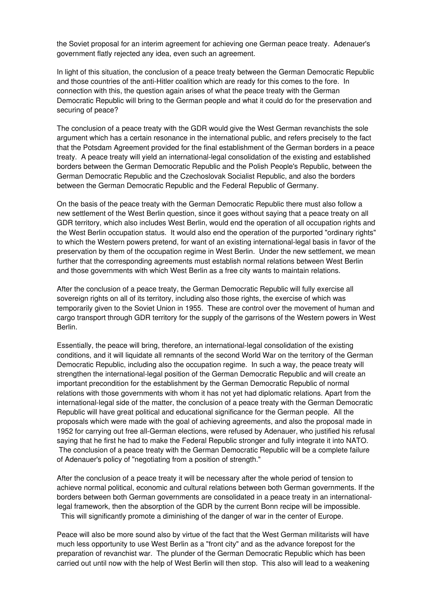the Soviet proposal for an interim agreement for achieving one German peace treaty. Adenauer's government flatly rejected any idea, even such an agreement.

In light of this situation, the conclusion of a peace treaty between the German Democratic Republic and those countries of the anti-Hitler coalition which are ready for this comes to the fore. In connection with this, the question again arises of what the peace treaty with the German Democratic Republic will bring to the German people and what it could do for the preservation and securing of peace?

The conclusion of a peace treaty with the GDR would give the West German revanchists the sole argument which has a certain resonance in the international public, and refers precisely to the fact that the Potsdam Agreement provided for the final establishment of the German borders in a peace treaty. A peace treaty will yield an international-legal consolidation of the existing and established borders between the German Democratic Republic and the Polish People's Republic, between the German Democratic Republic and the Czechoslovak Socialist Republic, and also the borders between the German Democratic Republic and the Federal Republic of Germany.

On the basis of the peace treaty with the German Democratic Republic there must also follow a new settlement of the West Berlin question, since it goes without saying that a peace treaty on all GDR territory, which also includes West Berlin, would end the operation of all occupation rights and the West Berlin occupation status. It would also end the operation of the purported "ordinary rights" to which the Western powers pretend, for want of an existing international-legal basis in favor of the preservation by them of the occupation regime in West Berlin. Under the new settlement, we mean further that the corresponding agreements must establish normal relations between West Berlin and those governments with which West Berlin as a free city wants to maintain relations.

After the conclusion of a peace treaty, the German Democratic Republic will fully exercise all sovereign rights on all of its territory, including also those rights, the exercise of which was temporarily given to the Soviet Union in 1955. These are control over the movement of human and cargo transport through GDR territory for the supply of the garrisons of the Western powers in West Berlin.

Essentially, the peace will bring, therefore, an international-legal consolidation of the existing conditions, and it will liquidate all remnants of the second World War on the territory of the German Democratic Republic, including also the occupation regime. In such a way, the peace treaty will strengthen the international-legal position of the German Democratic Republic and will create an important precondition for the establishment by the German Democratic Republic of normal relations with those governments with whom it has not yet had diplomatic relations. Apart from the international-legal side of the matter, the conclusion of a peace treaty with the German Democratic Republic will have great political and educational significance for the German people. All the proposals which were made with the goal of achieving agreements, and also the proposal made in 1952 for carrying out free all-German elections, were refused by Adenauer, who justified his refusal saying that he first he had to make the Federal Republic stronger and fully integrate it into NATO. The conclusion of a peace treaty with the German Democratic Republic will be a complete failure of Adenauer's policy of "negotiating from a position of strength."

After the conclusion of a peace treaty it will be necessary after the whole period of tension to achieve normal political, economic and cultural relations between both German governments. If the borders between both German governments are consolidated in a peace treaty in an internationallegal framework, then the absorption of the GDR by the current Bonn recipe will be impossible. This will significantly promote a diminishing of the danger of war in the center of Europe.

Peace will also be more sound also by virtue of the fact that the West German militarists will have much less opportunity to use West Berlin as a "front city" and as the advance forepost for the preparation of revanchist war. The plunder of the German Democratic Republic which has been carried out until now with the help of West Berlin will then stop. This also will lead to a weakening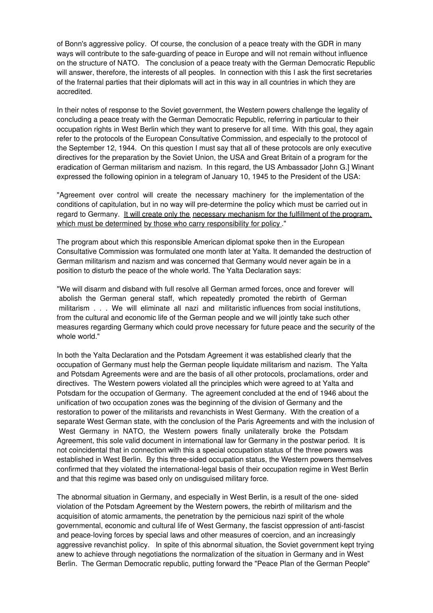of Bonn's aggressive policy. Of course, the conclusion of a peace treaty with the GDR in many ways will contribute to the safe-guarding of peace in Europe and will not remain without influence on the structure of NATO. The conclusion of a peace treaty with the German Democratic Republic will answer, therefore, the interests of all peoples. In connection with this I ask the first secretaries of the fraternal parties that their diplomats will act in this way in all countries in which they are accredited.

In their notes of response to the Soviet government, the Western powers challenge the legality of concluding a peace treaty with the German Democratic Republic, referring in particular to their occupation rights in West Berlin which they want to preserve for all time. With this goal, they again refer to the protocols of the European Consultative Commission, and especially to the protocol of the September 12, 1944. On this question I must say that all of these protocols are only executive directives for the preparation by the Soviet Union, the USA and Great Britain of a program for the eradication of German militarism and nazism. In this regard, the US Ambassador [John G.] Winant expressed the following opinion in a telegram of January 10, 1945 to the President of the USA:

"Agreement over control will create the necessary machinery for the implementation of the conditions of capitulation, but in no way will pre-determine the policy which must be carried out in regard to Germany. It will create only the necessary mechanism for the fulfillment of the program, which must be determined by those who carry responsibility for policy."

The program about which this responsible American diplomat spoke then in the European Consultative Commission was formulated one month later at Yalta. It demanded the destruction of German militarism and nazism and was concerned that Germany would never again be in a position to disturb the peace of the whole world. The Yalta Declaration says:

"We will disarm and disband with full resolve all German armed forces, once and forever will abolish the German general staff, which repeatedly promoted the rebirth of German militarism . . . We will eliminate all nazi and militaristic influences from social institutions, from the cultural and economic life of the German people and we will jointly take such other measures regarding Germany which could prove necessary for future peace and the security of the whole world."

In both the Yalta Declaration and the Potsdam Agreement it was established clearly that the occupation of Germany must help the German people liquidate militarism and nazism. The Yalta and Potsdam Agreements were and are the basis of all other protocols, proclamations, order and directives. The Western powers violated all the principles which were agreed to at Yalta and Potsdam for the occupation of Germany. The agreement concluded at the end of 1946 about the unification of two occupation zones was the beginning of the division of Germany and the restoration to power of the militarists and revanchists in West Germany. With the creation of a separate West German state, with the conclusion of the Paris Agreements and with the inclusion of West Germany in NATO, the Western powers finally unilaterally broke the Potsdam Agreement, this sole valid document in international law for Germany in the postwar period. It is not coincidental that in connection with this a special occupation status of the three powers was established in West Berlin. By this three-sided occupation status, the Western powers themselves confirmed that they violated the international-legal basis of their occupation regime in West Berlin and that this regime was based only on undisguised military force.

The abnormal situation in Germany, and especially in West Berlin, is a result of the one- sided violation of the Potsdam Agreement by the Western powers, the rebirth of militarism and the acquisition of atomic armaments, the penetration by the pernicious nazi spirit of the whole governmental, economic and cultural life of West Germany, the fascist oppression of anti-fascist and peace-loving forces by special laws and other measures of coercion, and an increasingly aggressive revanchist policy. In spite of this abnormal situation, the Soviet government kept trying anew to achieve through negotiations the normalization of the situation in Germany and in West Berlin. The German Democratic republic, putting forward the "Peace Plan of the German People"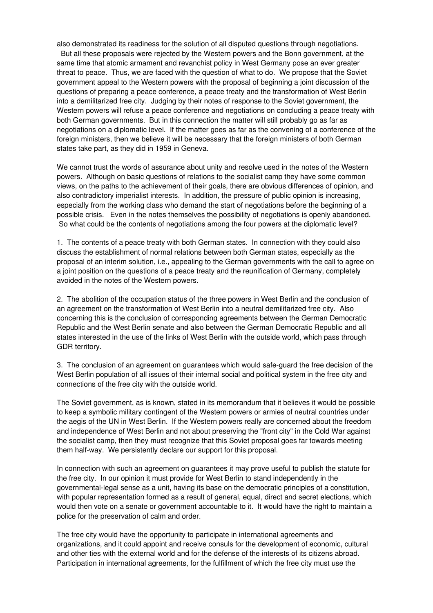also demonstrated its readiness for the solution of all disputed questions through negotiations.

But all these proposals were rejected by the Western powers and the Bonn government, at the same time that atomic armament and revanchist policy in West Germany pose an ever greater threat to peace. Thus, we are faced with the question of what to do. We propose that the Soviet government appeal to the Western powers with the proposal of beginning a joint discussion of the questions of preparing a peace conference, a peace treaty and the transformation of West Berlin into a demilitarized free city. Judging by their notes of response to the Soviet government, the Western powers will refuse a peace conference and negotiations on concluding a peace treaty with both German governments. But in this connection the matter will still probably go as far as negotiations on a diplomatic level. If the matter goes as far as the convening of a conference of the foreign ministers, then we believe it will be necessary that the foreign ministers of both German states take part, as they did in 1959 in Geneva.

We cannot trust the words of assurance about unity and resolve used in the notes of the Western powers. Although on basic questions of relations to the socialist camp they have some common views, on the paths to the achievement of their goals, there are obvious differences of opinion, and also contradictory imperialist interests. In addition, the pressure of public opinion is increasing, especially from the working class who demand the start of negotiations before the beginning of a possible crisis. Even in the notes themselves the possibility of negotiations is openly abandoned. So what could be the contents of negotiations among the four powers at the diplomatic level?

1. The contents of a peace treaty with both German states. In connection with they could also discuss the establishment of normal relations between both German states, especially as the proposal of an interim solution, i.e., appealing to the German governments with the call to agree on a joint position on the questions of a peace treaty and the reunification of Germany, completely avoided in the notes of the Western powers.

2. The abolition of the occupation status of the three powers in West Berlin and the conclusion of an agreement on the transformation of West Berlin into a neutral demilitarized free city. Also concerning this is the conclusion of corresponding agreements between the German Democratic Republic and the West Berlin senate and also between the German Democratic Republic and all states interested in the use of the links of West Berlin with the outside world, which pass through GDR territory.

3. The conclusion of an agreement on guarantees which would safe-guard the free decision of the West Berlin population of all issues of their internal social and political system in the free city and connections of the free city with the outside world.

The Soviet government, as is known, stated in its memorandum that it believes it would be possible to keep a symbolic military contingent of the Western powers or armies of neutral countries under the aegis of the UN in West Berlin. If the Western powers really are concerned about the freedom and independence of West Berlin and not about preserving the "front city" in the Cold War against the socialist camp, then they must recognize that this Soviet proposal goes far towards meeting them half-way. We persistently declare our support for this proposal.

In connection with such an agreement on guarantees it may prove useful to publish the statute for the free city. In our opinion it must provide for West Berlin to stand independently in the governmental-legal sense as a unit, having its base on the democratic principles of a constitution, with popular representation formed as a result of general, equal, direct and secret elections, which would then vote on a senate or government accountable to it. It would have the right to maintain a police for the preservation of calm and order.

The free city would have the opportunity to participate in international agreements and organizations, and it could appoint and receive consuls for the development of economic, cultural and other ties with the external world and for the defense of the interests of its citizens abroad. Participation in international agreements, for the fulfillment of which the free city must use the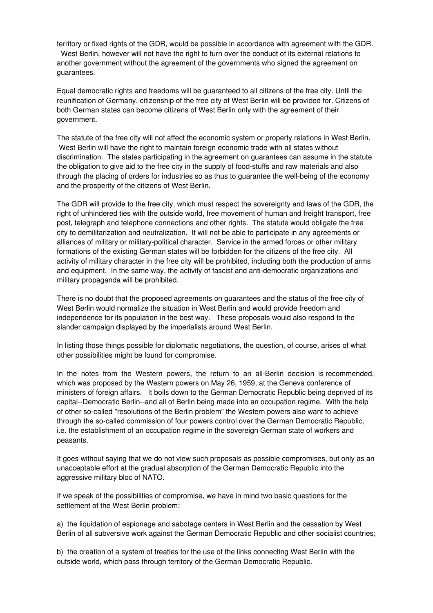territory or fixed rights of the GDR, would be possible in accordance with agreement with the GDR. West Berlin, however will not have the right to turn over the conduct of its external relations to another government without the agreement of the governments who signed the agreement on guarantees.

Equal democratic rights and freedoms will be guaranteed to all citizens of the free city. Until the reunification of Germany, citizenship of the free city of West Berlin will be provided for. Citizens of both German states can become citizens of West Berlin only with the agreement of their government.

The statute of the free city will not affect the economic system or property relations in West Berlin. West Berlin will have the right to maintain foreign economic trade with all states without discrimination. The states participating in the agreement on guarantees can assume in the statute the obligation to give aid to the free city in the supply of food-stuffs and raw materials and also through the placing of orders for industries so as thus to guarantee the well-being of the economy and the prosperity of the citizens of West Berlin.

The GDR will provide to the free city, which must respect the sovereignty and laws of the GDR, the right of unhindered ties with the outside world, free movement of human and freight transport, free post, telegraph and telephone connections and other rights. The statute would obligate the free city to demilitarization and neutralization. It will not be able to participate in any agreements or alliances of military or military-political character. Service in the armed forces or other military formations of the existing German states will be forbidden for the citizens of the free city. All activity of military character in the free city will be prohibited, including both the production of arms and equipment. In the same way, the activity of fascist and anti-democratic organizations and military propaganda will be prohibited.

There is no doubt that the proposed agreements on guarantees and the status of the free city of West Berlin would normalize the situation in West Berlin and would provide freedom and independence for its population in the best way. These proposals would also respond to the slander campaign displayed by the imperialists around West Berlin.

In listing those things possible for diplomatic negotiations, the question, of course, arises of what other possibilities might be found for compromise.

In the notes from the Western powers, the return to an all-Berlin decision is recommended, which was proposed by the Western powers on May 26, 1959, at the Geneva conference of ministers of foreign affairs. It boils down to the German Democratic Republic being deprived of its capital--Democratic Berlin--and all of Berlin being made into an occupation regime. With the help of other so-called "resolutions of the Berlin problem" the Western powers also want to achieve through the so-called commission of four powers control over the German Democratic Republic, i.e. the establishment of an occupation regime in the sovereign German state of workers and peasants.

It goes without saying that we do not view such proposals as possible compromises, but only as an unacceptable effort at the gradual absorption of the German Democratic Republic into the aggressive military bloc of NATO.

If we speak of the possibilities of compromise, we have in mind two basic questions for the settlement of the West Berlin problem:

a) the liquidation of espionage and sabotage centers in West Berlin and the cessation by West Berlin of all subversive work against the German Democratic Republic and other socialist countries;

b) the creation of a system of treaties for the use of the links connecting West Berlin with the outside world, which pass through territory of the German Democratic Republic.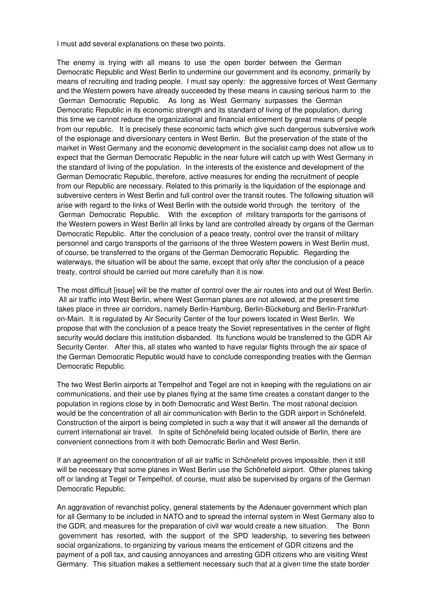I must add several explanations on these two points.

The enemy is trying with all means to use the open border between the German Democratic Republic and West Berlin to undermine our government and its economy, primarily by means of recruiting and trading people. I must say openly: the aggressive forces of West Germany and the Western powers have already succeeded by these means in causing serious harm to the German Democratic Republic. As long as West Germany surpasses the German Democratic Republic in its economic strength and its standard of living of the population, during this time we cannot reduce the organizational and financial enticement by great means of people from our republic. It is precisely these economic facts which give such dangerous subversive work of the espionage and diversionary centers in West Berlin. But the preservation of the state of the market in West Germany and the economic development in the socialist camp does not allow us to expect that the German Democratic Republic in the near future will catch up with West Germany in the standard of living of the population. In the interests of the existence and development of the German Democratic Republic, therefore, active measures for ending the recruitment of people from our Republic are necessary. Related to this primarily is the liquidation of the espionage and subversive centers in West Berlin and full control over the transit routes. The following situation will arise with regard to the links of West Berlin with the outside world through the territory of the German Democratic Republic. With the exception of military transports for the garrisons of the Western powers in West Berlin all links by land are controlled already by organs of the German Democratic Republic. After the conclusion of a peace treaty, control over the transit of military personnel and cargo transports of the garrisons of the three Western powers in West Berlin must, of course, be transferred to the organs of the German Democratic Republic. Regarding the waterways, the situation will be about the same, except that only after the conclusion of a peace treaty, control should be carried out more carefully than it is now.

The most difficult [issue] will be the matter of control over the air routes into and out of West Berlin. All air traffic into West Berlin, where West German planes are not allowed, at the present time takes place in three air corridors, namely Berlin-Hamburg, Berlin-Bückeburg and Berlin-Frankfurton-Main. It is regulated by Air Security Center of the four powers located in West Berlin. We propose that with the conclusion of a peace treaty the Soviet representatives in the center of flight security would declare this institution disbanded. Its functions would be transferred to the GDR Air Security Center. After this, all states who wanted to have regular flights through the air space of the German Democratic Republic would have to conclude corresponding treaties with the German Democratic Republic.

The two West Berlin airports at Tempelhof and Tegel are not in keeping with the regulations on air communications, and their use by planes flying at the same time creates a constant danger to the population in regions close by in both Democratic and West Berlin. The most rational decision would be the concentration of all air communication with Berlin to the GDR airport in Schönefeld. Construction of the airport is being completed in such a way that it will answer all the demands of current international air travel. In spite of Schönefeld being located outside of Berlin, there are convenient connections from it with both Democratic Berlin and West Berlin.

If an agreement on the concentration of all air traffic in Schönefeld proves impossible, then it still will be necessary that some planes in West Berlin use the Schönefeld airport. Other planes taking off or landing at Tegel or Tempelhof, of course, must also be supervised by organs of the German Democratic Republic.

An aggravation of revanchist policy, general statements by the Adenauer government which plan for all Germany to be included in NATO and to spread the internal system in West Germany also to the GDR, and measures for the preparation of civil war would create a new situation. The Bonn government has resorted, with the support of the SPD leadership, to severing ties between social organizations, to organizing by various means the enticement of GDR citizens and the payment of a poll tax, and causing annoyances and arresting GDR citizens who are visiting West Germany. This situation makes a settlement necessary such that at a given time the state border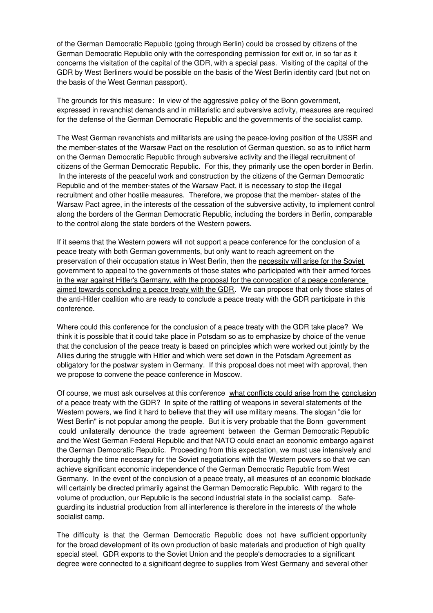of the German Democratic Republic (going through Berlin) could be crossed by citizens of the German Democratic Republic only with the corresponding permission for exit or, in so far as it concerns the visitation of the capital of the GDR, with a special pass. Visiting of the capital of the GDR by West Berliners would be possible on the basis of the West Berlin identity card (but not on the basis of the West German passport).

The grounds for this measure: In view of the aggressive policy of the Bonn government, expressed in revanchist demands and in militaristic and subversive activity, measures are required for the defense of the German Democratic Republic and the governments of the socialist camp.

The West German revanchists and militarists are using the peace-loving position of the USSR and the member-states of the Warsaw Pact on the resolution of German question, so as to inflict harm on the German Democratic Republic through subversive activity and the illegal recruitment of citizens of the German Democratic Republic. For this, they primarily use the open border in Berlin. In the interests of the peaceful work and construction by the citizens of the German Democratic Republic and of the member-states of the Warsaw Pact, it is necessary to stop the illegal recruitment and other hostile measures. Therefore, we propose that the member- states of the Warsaw Pact agree, in the interests of the cessation of the subversive activity, to implement control along the borders of the German Democratic Republic, including the borders in Berlin, comparable to the control along the state borders of the Western powers.

If it seems that the Western powers will not support a peace conference for the conclusion of a peace treaty with both German governments, but only want to reach agreement on the preservation of their occupation status in West Berlin, then the necessity will arise for the Soviet government to appeal to the governments of those states who participated with their armed forces in the war against Hitler's Germany, with the proposal for the convocation of a peace conference aimed towards concluding a peace treaty with the GDR. We can propose that only those states of the anti-Hitler coalition who are ready to conclude a peace treaty with the GDR participate in this conference.

Where could this conference for the conclusion of a peace treaty with the GDR take place? We think it is possible that it could take place in Potsdam so as to emphasize by choice of the venue that the conclusion of the peace treaty is based on principles which were worked out jointly by the Allies during the struggle with Hitler and which were set down in the Potsdam Agreement as obligatory for the postwar system in Germany. If this proposal does not meet with approval, then we propose to convene the peace conference in Moscow.

Of course, we must ask ourselves at this conference what conflicts could arise from the conclusion of a peace treaty with the GDR? In spite of the rattling of weapons in several statements of the Western powers, we find it hard to believe that they will use military means. The slogan "die for West Berlin" is not popular among the people. But it is very probable that the Bonn government could unilaterally denounce the trade agreement between the German Democratic Republic and the West German Federal Republic and that NATO could enact an economic embargo against the German Democratic Republic. Proceeding from this expectation, we must use intensively and thoroughly the time necessary for the Soviet negotiations with the Western powers so that we can achieve significant economic independence of the German Democratic Republic from West Germany. In the event of the conclusion of a peace treaty, all measures of an economic blockade will certainly be directed primarily against the German Democratic Republic. With regard to the volume of production, our Republic is the second industrial state in the socialist camp. Safeguarding its industrial production from all interference is therefore in the interests of the whole socialist camp.

The difficulty is that the German Democratic Republic does not have sufficient opportunity for the broad development of its own production of basic materials and production of high quality special steel. GDR exports to the Soviet Union and the people's democracies to a significant degree were connected to a significant degree to supplies from West Germany and several other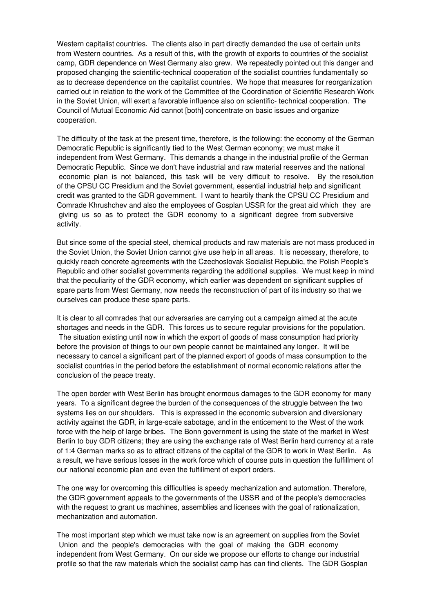Western capitalist countries. The clients also in part directly demanded the use of certain units from Western countries. As a result of this, with the growth of exports to countries of the socialist camp, GDR dependence on West Germany also grew. We repeatedly pointed out this danger and proposed changing the scientific-technical cooperation of the socialist countries fundamentally so as to decrease dependence on the capitalist countries. We hope that measures for reorganization carried out in relation to the work of the Committee of the Coordination of Scientific Research Work in the Soviet Union, will exert a favorable influence also on scientific- technical cooperation. The Council of Mutual Economic Aid cannot [both] concentrate on basic issues and organize cooperation.

The difficulty of the task at the present time, therefore, is the following: the economy of the German Democratic Republic is significantly tied to the West German economy; we must make it independent from West Germany. This demands a change in the industrial profile of the German Democratic Republic. Since we don't have industrial and raw material reserves and the national economic plan is not balanced, this task will be very difficult to resolve. By the resolution of the CPSU CC Presidium and the Soviet government, essential industrial help and significant credit was granted to the GDR government. I want to heartily thank the CPSU CC Presidium and Comrade Khrushchev and also the employees of Gosplan USSR for the great aid which they are giving us so as to protect the GDR economy to a significant degree from subversive activity.

But since some of the special steel, chemical products and raw materials are not mass produced in the Soviet Union, the Soviet Union cannot give use help in all areas. It is necessary, therefore, to quickly reach concrete agreements with the Czechoslovak Socialist Republic, the Polish People's Republic and other socialist governments regarding the additional supplies. We must keep in mind that the peculiarity of the GDR economy, which earlier was dependent on significant supplies of spare parts from West Germany, now needs the reconstruction of part of its industry so that we ourselves can produce these spare parts.

It is clear to all comrades that our adversaries are carrying out a campaign aimed at the acute shortages and needs in the GDR. This forces us to secure regular provisions for the population. The situation existing until now in which the export of goods of mass consumption had priority before the provision of things to our own people cannot be maintained any longer. It will be necessary to cancel a significant part of the planned export of goods of mass consumption to the socialist countries in the period before the establishment of normal economic relations after the conclusion of the peace treaty.

The open border with West Berlin has brought enormous damages to the GDR economy for many years. To a significant degree the burden of the consequences of the struggle between the two systems lies on our shoulders. This is expressed in the economic subversion and diversionary activity against the GDR, in large-scale sabotage, and in the enticement to the West of the work force with the help of large bribes. The Bonn government is using the state of the market in West Berlin to buy GDR citizens; they are using the exchange rate of West Berlin hard currency at a rate of 1:4 German marks so as to attract citizens of the capital of the GDR to work in West Berlin. As a result, we have serious losses in the work force which of course puts in question the fulfillment of our national economic plan and even the fulfillment of export orders.

The one way for overcoming this difficulties is speedy mechanization and automation. Therefore, the GDR government appeals to the governments of the USSR and of the people's democracies with the request to grant us machines, assemblies and licenses with the goal of rationalization, mechanization and automation.

The most important step which we must take now is an agreement on supplies from the Soviet Union and the people's democracies with the goal of making the GDR economy independent from West Germany. On our side we propose our efforts to change our industrial profile so that the raw materials which the socialist camp has can find clients. The GDR Gosplan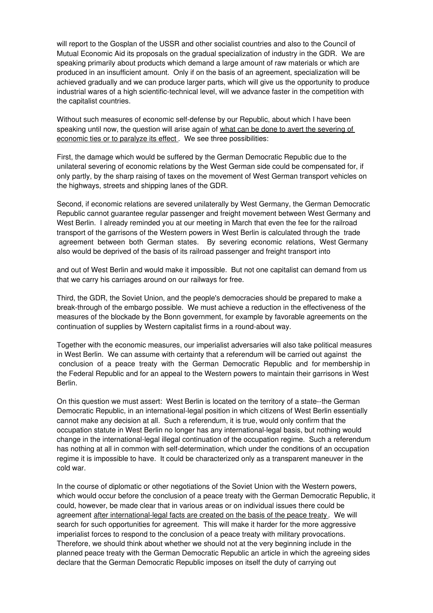will report to the Gosplan of the USSR and other socialist countries and also to the Council of Mutual Economic Aid its proposals on the gradual specialization of industry in the GDR. We are speaking primarily about products which demand a large amount of raw materials or which are produced in an insufficient amount. Only if on the basis of an agreement, specialization will be achieved gradually and we can produce larger parts, which will give us the opportunity to produce industrial wares of a high scientific-technical level, will we advance faster in the competition with the capitalist countries.

Without such measures of economic self-defense by our Republic, about which I have been speaking until now, the question will arise again of what can be done to avert the severing of economic ties or to paralyze its effect. We see three possibilities:

First, the damage which would be suffered by the German Democratic Republic due to the unilateral severing of economic relations by the West German side could be compensated for, if only partly, by the sharp raising of taxes on the movement of West German transport vehicles on the highways, streets and shipping lanes of the GDR.

Second, if economic relations are severed unilaterally by West Germany, the German Democratic Republic cannot guarantee regular passenger and freight movement between West Germany and West Berlin. I already reminded you at our meeting in March that even the fee for the railroad transport of the garrisons of the Western powers in West Berlin is calculated through the trade agreement between both German states. By severing economic relations, West Germany also would be deprived of the basis of its railroad passenger and freight transport into

and out of West Berlin and would make it impossible. But not one capitalist can demand from us that we carry his carriages around on our railways for free.

Third, the GDR, the Soviet Union, and the people's democracies should be prepared to make a break-through of the embargo possible. We must achieve a reduction in the effectiveness of the measures of the blockade by the Bonn government, for example by favorable agreements on the continuation of supplies by Western capitalist firms in a round-about way.

Together with the economic measures, our imperialist adversaries will also take political measures in West Berlin. We can assume with certainty that a referendum will be carried out against the conclusion of a peace treaty with the German Democratic Republic and for membership in the Federal Republic and for an appeal to the Western powers to maintain their garrisons in West Berlin.

On this question we must assert: West Berlin is located on the territory of a state--the German Democratic Republic, in an international-legal position in which citizens of West Berlin essentially cannot make any decision at all. Such a referendum, it is true, would only confirm that the occupation statute in West Berlin no longer has any international-legal basis, but nothing would change in the international-legal illegal continuation of the occupation regime. Such a referendum has nothing at all in common with self-determination, which under the conditions of an occupation regime it is impossible to have. It could be characterized only as a transparent maneuver in the cold war.

In the course of diplomatic or other negotiations of the Soviet Union with the Western powers, which would occur before the conclusion of a peace treaty with the German Democratic Republic, it could, however, be made clear that in various areas or on individual issues there could be agreement after international-legal facts are created on the basis of the peace treaty . We will search for such opportunities for agreement. This will make it harder for the more aggressive imperialist forces to respond to the conclusion of a peace treaty with military provocations. Therefore, we should think about whether we should not at the very beginning include in the planned peace treaty with the German Democratic Republic an article in which the agreeing sides declare that the German Democratic Republic imposes on itself the duty of carrying out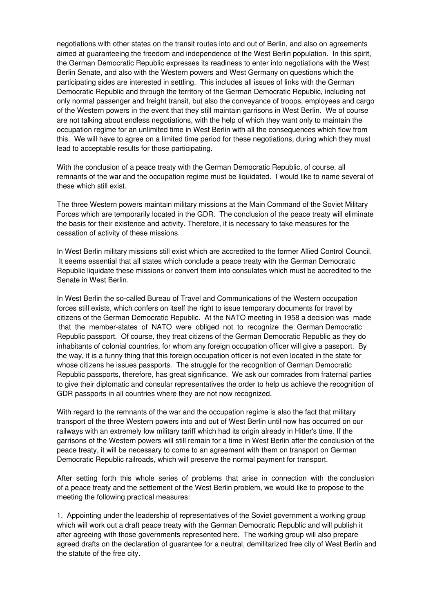negotiations with other states on the transit routes into and out of Berlin, and also on agreements aimed at guaranteeing the freedom and independence of the West Berlin population. In this spirit, the German Democratic Republic expresses its readiness to enter into negotiations with the West Berlin Senate, and also with the Western powers and West Germany on questions which the participating sides are interested in settling. This includes all issues of links with the German Democratic Republic and through the territory of the German Democratic Republic, including not only normal passenger and freight transit, but also the conveyance of troops, employees and cargo of the Western powers in the event that they still maintain garrisons in West Berlin. We of course are not talking about endless negotiations, with the help of which they want only to maintain the occupation regime for an unlimited time in West Berlin with all the consequences which flow from this. We will have to agree on a limited time period for these negotiations, during which they must lead to acceptable results for those participating.

With the conclusion of a peace treaty with the German Democratic Republic, of course, all remnants of the war and the occupation regime must be liquidated. I would like to name several of these which still exist.

The three Western powers maintain military missions at the Main Command of the Soviet Military Forces which are temporarily located in the GDR. The conclusion of the peace treaty will eliminate the basis for their existence and activity. Therefore, it is necessary to take measures for the cessation of activity of these missions.

In West Berlin military missions still exist which are accredited to the former Allied Control Council. It seems essential that all states which conclude a peace treaty with the German Democratic Republic liquidate these missions or convert them into consulates which must be accredited to the Senate in West Berlin.

In West Berlin the so-called Bureau of Travel and Communications of the Western occupation forces still exists, which confers on itself the right to issue temporary documents for travel by citizens of the German Democratic Republic. At the NATO meeting in 1958 a decision was made that the member-states of NATO were obliged not to recognize the German Democratic Republic passport. Of course, they treat citizens of the German Democratic Republic as they do inhabitants of colonial countries, for whom any foreign occupation officer will give a passport. By the way, it is a funny thing that this foreign occupation officer is not even located in the state for whose citizens he issues passports. The struggle for the recognition of German Democratic Republic passports, therefore, has great significance. We ask our comrades from fraternal parties to give their diplomatic and consular representatives the order to help us achieve the recognition of GDR passports in all countries where they are not now recognized.

With regard to the remnants of the war and the occupation regime is also the fact that military transport of the three Western powers into and out of West Berlin until now has occurred on our railways with an extremely low military tariff which had its origin already in Hitler's time. If the garrisons of the Western powers will still remain for a time in West Berlin after the conclusion of the peace treaty, it will be necessary to come to an agreement with them on transport on German Democratic Republic railroads, which will preserve the normal payment for transport.

After setting forth this whole series of problems that arise in connection with the conclusion of a peace treaty and the settlement of the West Berlin problem, we would like to propose to the meeting the following practical measures:

1. Appointing under the leadership of representatives of the Soviet government a working group which will work out a draft peace treaty with the German Democratic Republic and will publish it after agreeing with those governments represented here. The working group will also prepare agreed drafts on the declaration of guarantee for a neutral, demilitarized free city of West Berlin and the statute of the free city.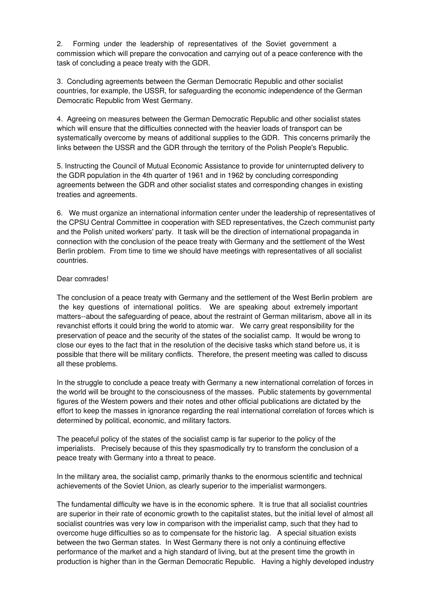2. Forming under the leadership of representatives of the Soviet government a commission which will prepare the convocation and carrying out of a peace conference with the task of concluding a peace treaty with the GDR.

3. Concluding agreements between the German Democratic Republic and other socialist countries, for example, the USSR, for safeguarding the economic independence of the German Democratic Republic from West Germany.

4. Agreeing on measures between the German Democratic Republic and other socialist states which will ensure that the difficulties connected with the heavier loads of transport can be systematically overcome by means of additional supplies to the GDR. This concerns primarily the links between the USSR and the GDR through the territory of the Polish People's Republic.

5. Instructing the Council of Mutual Economic Assistance to provide for uninterrupted delivery to the GDR population in the 4th quarter of 1961 and in 1962 by concluding corresponding agreements between the GDR and other socialist states and corresponding changes in existing treaties and agreements.

6. We must organize an international information center under the leadership of representatives of the CPSU Central Committee in cooperation with SED representatives, the Czech communist party and the Polish united workers' party. It task will be the direction of international propaganda in connection with the conclusion of the peace treaty with Germany and the settlement of the West Berlin problem. From time to time we should have meetings with representatives of all socialist countries.

### Dear comrades!

The conclusion of a peace treaty with Germany and the settlement of the West Berlin problem are the key questions of international politics. We are speaking about extremely important matters--about the safeguarding of peace, about the restraint of German militarism, above all in its revanchist efforts it could bring the world to atomic war. We carry great responsibility for the preservation of peace and the security of the states of the socialist camp. It would be wrong to close our eyes to the fact that in the resolution of the decisive tasks which stand before us, it is possible that there will be military conflicts. Therefore, the present meeting was called to discuss all these problems.

In the struggle to conclude a peace treaty with Germany a new international correlation of forces in the world will be brought to the consciousness of the masses. Public statements by governmental figures of the Western powers and their notes and other official publications are dictated by the effort to keep the masses in ignorance regarding the real international correlation of forces which is determined by political, economic, and military factors.

The peaceful policy of the states of the socialist camp is far superior to the policy of the imperialists. Precisely because of this they spasmodically try to transform the conclusion of a peace treaty with Germany into a threat to peace.

In the military area, the socialist camp, primarily thanks to the enormous scientific and technical achievements of the Soviet Union, as clearly superior to the imperialist warmongers.

The fundamental difficulty we have is in the economic sphere. It is true that all socialist countries are superior in their rate of economic growth to the capitalist states, but the initial level of almost all socialist countries was very low in comparison with the imperialist camp, such that they had to overcome huge difficulties so as to compensate for the historic lag. A special situation exists between the two German states. In West Germany there is not only a continuing effective performance of the market and a high standard of living, but at the present time the growth in production is higher than in the German Democratic Republic. Having a highly developed industry